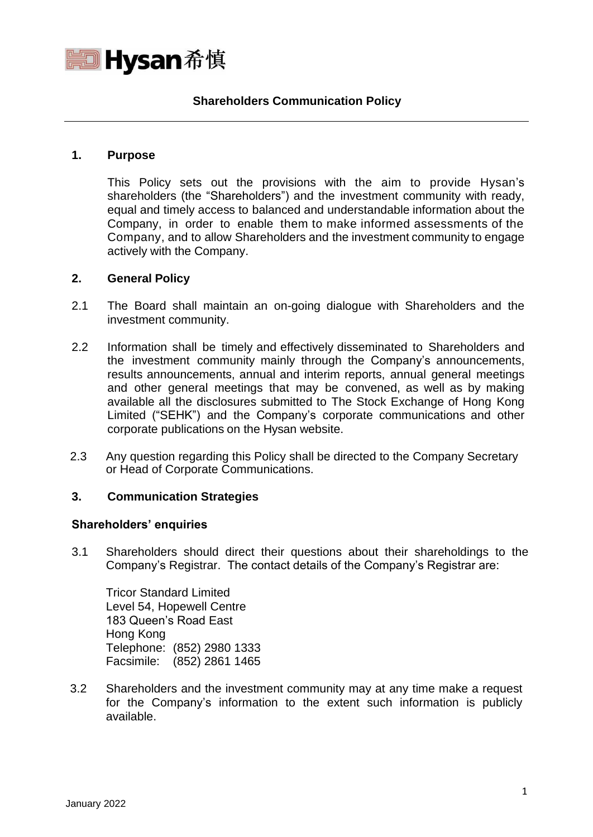

## **Shareholders Communication Policy**

### **1. Purpose**

This Policy sets out the provisions with the aim to provide Hysan's shareholders (the "Shareholders") and the investment community with ready, equal and timely access to balanced and understandable information about the Company, in order to enable them to make informed assessments of the Company, and to allow Shareholders and the investment community to engage actively with the Company.

### **2. General Policy**

- 2.1 The Board shall maintain an on-going dialogue with Shareholders and the investment community.
- 2.2 Information shall be timely and effectively disseminated to Shareholders and the investment community mainly through the Company's announcements, results announcements, annual and interim reports, annual general meetings and other general meetings that may be convened, as well as by making available all the disclosures submitted to The Stock Exchange of Hong Kong Limited ("SEHK") and the Company's corporate communications and other corporate publications on the Hysan website.
- 2.3 Any question regarding this Policy shall be directed to the Company Secretary or Head of Corporate Communications.

## **3. Communication Strategies**

#### **Shareholders' enquiries**

3.1 Shareholders should direct their questions about their shareholdings to the Company's Registrar. The contact details of the Company's Registrar are:

Tricor Standard Limited Level 54, Hopewell Centre 183 Queen's Road East Hong Kong Telephone: (852) 2980 1333 Facsimile: (852) 2861 1465

3.2 Shareholders and the investment community may at any time make a request for the Company's information to the extent such information is publicly available.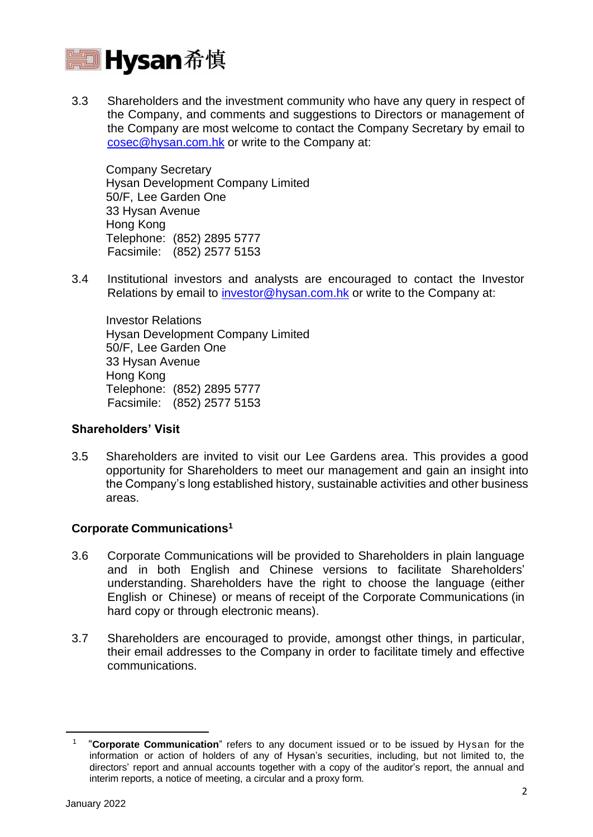

3.3 Shareholders and the investment community who have any query in respect of the Company, and comments and suggestions to Directors or management of the Company are most welcome to contact the Company Secretary by email to [cosec@hysan.com.hk](mailto:cosec@hysan.com.hk) or write to the Company at:

Company Secretary Hysan Development Company Limited 50/F, Lee Garden One 33 Hysan Avenue Hong Kong Telephone: (852) 2895 5777 Facsimile: (852) 2577 5153

3.4 Institutional investors and analysts are encouraged to contact the Investor Relations by email to [investor@hysan.com.hk](mailto:investor@hysan.com.hk) or write to the Company at:

Investor Relations Hysan Development Company Limited 50/F, Lee Garden One 33 Hysan Avenue Hong Kong Telephone: (852) 2895 5777 Facsimile: (852) 2577 5153

### **Shareholders' Visit**

3.5 Shareholders are invited to visit our Lee Gardens area. This provides a good opportunity for Shareholders to meet our management and gain an insight into the Company's long established history, sustainable activities and other business areas.

# **Corporate Communications 1**

- 3.6 Corporate Communications will be provided to Shareholders in plain language and in both English and Chinese versions to facilitate Shareholders' understanding. Shareholders have the right to choose the language (either English or Chinese) or means of receipt of the Corporate Communications (in hard copy or through electronic means).
- 3.7 Shareholders are encouraged to provide, amongst other things, in particular, their email addresses to the Company in order to facilitate timely and effective communications.

<sup>1</sup> "**Corporate Communication**" refers to any document issued or to be issued by Hysan for the information or action of holders of any of Hysan's securities, including, but not limited to, the directors' report and annual accounts together with a copy of the auditor's report, the annual and interim reports, a notice of meeting, a circular and a proxy form.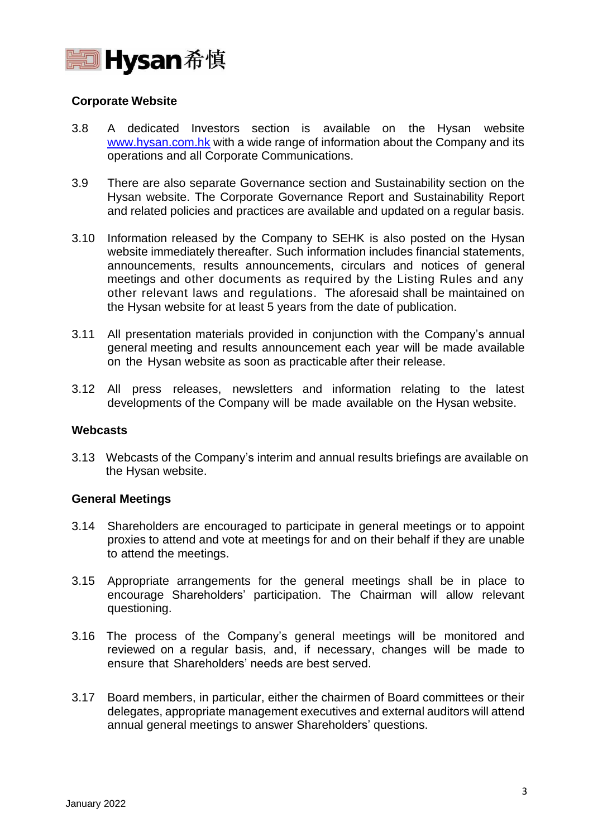

### **Corporate Website**

- 3.8 A dedicated Investors section is available on the Hysan website [www.hysan.com.hk](http://www.hysan.com.hk/) with a wide range of information about the Company and its operations and all Corporate Communications.
- 3.9 There are also separate Governance section and Sustainability section on the Hysan website. The Corporate Governance Report and Sustainability Report and related policies and practices are available and updated on a regular basis.
- 3.10 Information released by the Company to SEHK is also posted on the Hysan website immediately thereafter. Such information includes financial statements, announcements, results announcements, circulars and notices of general meetings and other documents as required by the Listing Rules and any other relevant laws and regulations. The aforesaid shall be maintained on the Hysan website for at least 5 years from the date of publication.
- 3.11 All presentation materials provided in conjunction with the Company's annual general meeting and results announcement each year will be made available on the Hysan website as soon as practicable after their release.
- 3.12 All press releases, newsletters and information relating to the latest developments of the Company will be made available on the Hysan website.

### **Webcasts**

3.13 Webcasts of the Company's interim and annual results briefings are available on the Hysan website.

### **General Meetings**

- 3.14 Shareholders are encouraged to participate in general meetings or to appoint proxies to attend and vote at meetings for and on their behalf if they are unable to attend the meetings.
- 3.15 Appropriate arrangements for the general meetings shall be in place to encourage Shareholders' participation. The Chairman will allow relevant questioning.
- 3.16 The process of the Company's general meetings will be monitored and reviewed on a regular basis, and, if necessary, changes will be made to ensure that Shareholders' needs are best served.
- 3.17 Board members, in particular, either the chairmen of Board committees or their delegates, appropriate management executives and external auditors will attend annual general meetings to answer Shareholders' questions.